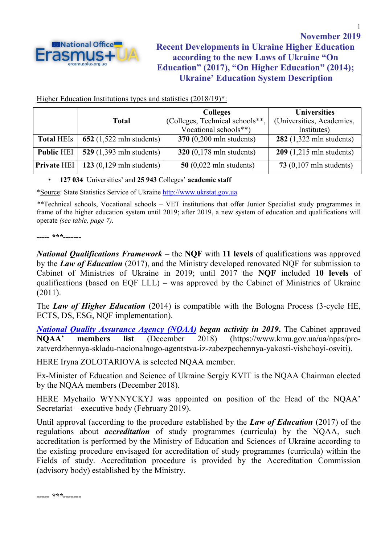

Higher Education Institutions types and statistics (2018/19)<sup>\*</sup>:

|                    |                                                    | <b>Colleges</b>                                    | <b>Universities</b>                                |  |
|--------------------|----------------------------------------------------|----------------------------------------------------|----------------------------------------------------|--|
|                    | <b>Total</b>                                       | (Colleges, Technical schools**,                    | (Universities, Academies,                          |  |
|                    |                                                    | Vocational schools**)                              | Institutes)                                        |  |
| <b>Total HEIs</b>  | 652 $(1,522 \text{ m} \text{ln} \text{ students})$ | $370(0,200 \text{ m} \text{ln} \text{ students})$  | 282 $(1,322 \text{ m} \text{ln} \text{ students})$ |  |
| <b>Public HEI</b>  | 529 $(1,393 \text{ m} \text{ln} \text{ students})$ | 320 $(0,178 \text{ m} \text{ln} \text{ students})$ | $209(1,215 \text{ m} \text{ln} \text{ students})$  |  |
| <b>Private HEI</b> | $123(0,129 \text{ min students})$                  | $50$ (0,022 mln students)                          | 73 $(0,107 \text{ m} \text{ln} \text{ students})$  |  |

## • **127 034** Universities' and **25 943** Colleges' **academic staff**

\*Source: State Statistics Service of Ukraine [http://www.ukrstat.gov.ua](http://www.ukrstat.gov.ua/)

*\*\**Technical schools, Vocational schools *–* VET institutions that offer Junior Specialist study programmes in frame of the higher education system until 2019; after 2019, a new system of education and qualifications will operate *(see table, page 7).*

## *----- \*\*\*-------*

*National Qualifications Framework* – the **NQF** with **11 levels** of qualifications was approved by the *Law of Education* (2017), and the Ministry developed renovated NQF for submission to Cabinet of Ministries of Ukraine in 2019; until 2017 the **NQF** included **10 levels** of qualifications (based on EQF LLL) – was approved by the Cabinet of Ministries of Ukraine (2011).

The *Law of Higher Education* (2014) is compatible with the Bologna Process (3-cycle HE, ECTS, DS, ESG, NQF implementation).

*[National Quality Assurance Agency \(NQAA\)](https://en.naqa.gov.ua/) began activity in 2019***.** The Cabinet approved **NQAA' members list** (December 2018) [\(https://www.kmu.gov.ua/ua/npas/pro](https://www.kmu.gov.ua/ua/npas/pro-zatverdzhennya-skladu-nacionalnogo-agentstva-iz-zabezpechennya-yakosti-vishchoyi-osviti)[zatverdzhennya-skladu-nacionalnogo-agentstva-iz-zabezpechennya-yakosti-vishchoyi-osviti\)](https://www.kmu.gov.ua/ua/npas/pro-zatverdzhennya-skladu-nacionalnogo-agentstva-iz-zabezpechennya-yakosti-vishchoyi-osviti).

HERE Iryna ZOLOTARIOVA is selected NQAA member.

Ex-Minister of Education and Science of Ukraine Sergiy KVIT is the NQAA Chairman elected by the NQAA members (December 2018).

HERE Mychailo WYNNYCKYJ was appointed on position of the Head of the NQAA' Secretariat – executive body (February 2019).

Until approval (according to the procedure established by the *Law of Education* (2017) of the regulations about *accreditation* of study programmes (curricula) by the NQAA, such accreditation is performed by the Ministry of Education and Sciences of Ukraine according to the existing procedure envisaged for accreditation of study programmes (curricula) within the Fields of study. Accreditation procedure is provided by the Accreditation Commission (advisory body) established by the Ministry.

1

*----- \*\*\*-------*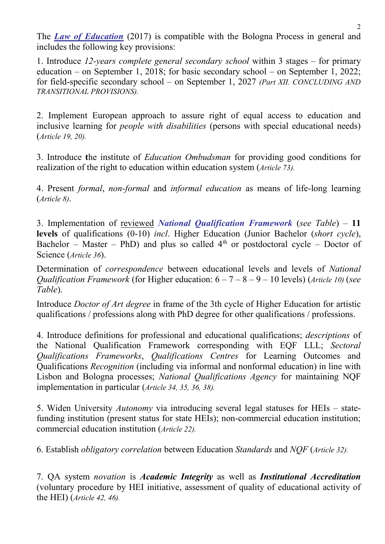The *Law of Education* (2017) is compatible with the Bologna Process in general and includes the following key provisions:

1. Introduce *12-years complete general secondary school* within 3 stages – for primary education – on September 1, 2018; for basic secondary school – on September 1, 2022; for field-specific secondary school – on September 1, 2027 *(Part XII. CONCLUDING AND TRANSITIONAL PROVISIONS).*

2. Implement European approach to assure right of equal access to education and inclusive learning for *people with disabilities* (persons with special educational needs) (*Article 19, 20).*

3. Introduce **t**he institute of *Education Ombudsman* for providing good conditions for realization of the right to education within education system (*Article 73).*

4. Present *formal*, *non-formal* and *informal education* as means of life-long learning (*Article 8)*.

3. Implementation of reviewed *National Qualification Framework* (*see Table*) – **11 levels** of qualifications (0-10) *incl*. Higher Education (Junior Bachelor (*short cycle*), Bachelor – Master – PhD) and plus so called  $4<sup>th</sup>$  or postdoctoral cycle – Doctor of Science (*Article 36*).

Determination of *correspondence* between educational levels and levels of *National Qualification Framework* (for Higher education: 6 – 7 – 8 – 9 – 10 levels) (*Article 10)* (*see Table*).

Introduce *Doctor of Art degree* in frame of the 3th cycle of Higher Education for artistic qualifications / professions along with PhD degree for other qualifications / professions.

4. Introduce definitions for professional and educational qualifications; *descriptions* of the National Qualification Framework corresponding with EQF LLL; *Sectoral Qualifications Frameworks*, *Qualifications Centres* for Learning Outcomes and Qualifications *Recognition* (including via informal and nonformal education) in line with Lisbon and Bologna processes; *National Qualifications Agency* for maintaining NQF implementation in particular (*Article 34, 35, 36, 38).*

5. Widen University *Autonomy* via introducing several legal statuses for HEIs – statefunding institution (present status for state HEIs); non-commercial education institution; commercial education institution (*Article 22).*

6. Establish *obligatory correlation* between Education *Standards* and *NQF* (*Article 32).*

7. QA system *novation* is *Academic Integrity* as well as *Institutional Accreditation* (voluntary procedure by HEI initiative, assessment of quality of educational activity of the HEI) (*Article 42, 46).*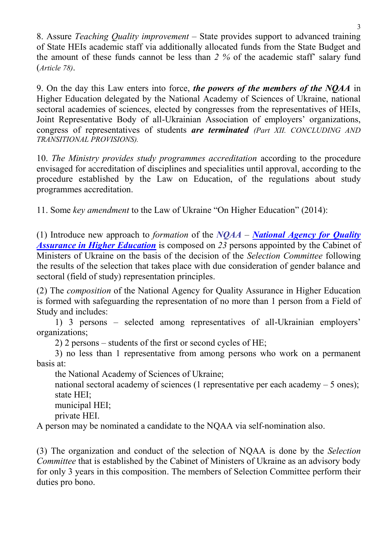8. Assure *Teaching Quality improvement* – State provides support to advanced training of State HEIs academic staff via additionally allocated funds from the State Budget and the amount of these funds cannot be less than *2 %* of the academic staff' salary fund (*Article 78)*.

9. On the day this Law enters into force, *the powers of the members of the NQAA* in Higher Education delegated by the National Academy of Sciences of Ukraine, national sectoral academies of sciences, elected by congresses from the representatives of HEIs, Joint Representative Body of all-Ukrainian Association of employers' organizations, congress of representatives of students *are terminated (Part XII. CONCLUDING AND TRANSITIONAL PROVISIONS).*

10. *The Ministry provides study programmes accreditation* according to the procedure envisaged for accreditation of disciplines and specialities until approval, according to the procedure established by the Law on Education, of the regulations about study programmes accreditation.

11. Some *key amendment* to the Law of Ukraine "On Higher Education" (2014):

(1) Introduce new approach to *formation* of the *NQAA* – *[National Agency for Quality](https://en.naqa.gov.ua/)  [Assurance in Higher Education](https://en.naqa.gov.ua/)* is composed on 23 persons appointed by the Cabinet of Ministers of Ukraine on the basis of the decision of the *Selection Committee* following the results of the selection that takes place with due consideration of gender balance and sectoral (field of study) representation principles.

(2) The *composition* of the National Agency for Quality Assurance in Higher Education is formed with safeguarding the representation of no more than 1 person from a Field of Study and includes:

1) 3 persons – selected among representatives of all-Ukrainian employers' organizations;

2) 2 persons – students of the first or second cycles of HE;

3) no less than 1 representative from among persons who work on a permanent basis at:

the National Academy of Sciences of Ukraine;

national sectoral academy of sciences (1 representative per each academy – 5 ones); state HEI;

municipal HEI;

private HEI.

A person may be nominated a candidate to the NQAA via self-nomination also.

(3) The organization and conduct of the selection of NQAA is done by the *Selection Committee* that is established by the Cabinet of Ministers of Ukraine as an advisory body for only 3 years in this composition. The members of Selection Committee perform their duties pro bono.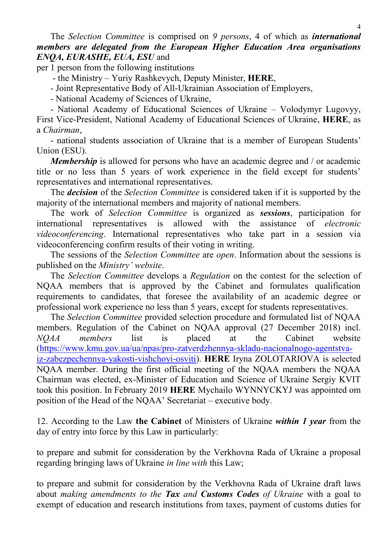## The *Selection Committee* is comprised on *9 persons*, 4 of which as *international members are delegated from the European Higher Education Area organisations ENQA, [EURASHE,](https://www.eurashe.eu/) EUA, ESU* and

per 1 person from the following institutions

- the Ministry – Yuriy Rashkevych, Deputy Minister, **HERE**,

- Joint Representative Body of All-Ukrainian Association of Employers,

- National Academy of Sciences of Ukraine,

- National Academy of Educational Sciences of Ukraine – Volodymyr Lugovyy, First Vice-President, National Academy of Educational Sciences of Ukraine, **HERE**, as a *Chairman*,

- national students association of Ukraine that is a member of European Students' Union (ESU).

*Membership* is allowed for persons who have an academic degree and / or academic title or no less than 5 years of work experience in the field except for students' representatives and international representatives.

The *decision* of the *Selection Committee* is considered taken if it is supported by the majority of the international members and majority of national members.

The work of *Selection Committee* is organized as *sessions*, participation for international representatives is allowed with the assistance of *electronic videoconferencing*. International representatives who take part in a session via videoconferencing confirm results of their voting in writing.

The sessions of the *Selection Committee* are *open*. Information about the sessions is published on the *Ministry' website*.

The *Selection Committee* develops a *Regulation* on the contest for the selection of NQAA members that is approved by the Cabinet and formulates qualification requirements to candidates, that foresee the availability of an academic degree or professional work experience no less than 5 years, except for students representatives.

The *Selection Committee* provided selection procedure and formulated list of NQAA members. Regulation of the Cabinet on NQAA approval (27 December 2018) incl. *NQAA members* list is placed at the Cabinet website [\(https://www.kmu.gov.ua/ua/npas/pro-zatverdzhennya-skladu-nacionalnogo-agentstva](https://www.kmu.gov.ua/ua/npas/pro-zatverdzhennya-skladu-nacionalnogo-agentstva-iz-zabezpechennya-yakosti-vishchoyi-osviti)[iz-zabezpechennya-yakosti-vishchoyi-osviti\)](https://www.kmu.gov.ua/ua/npas/pro-zatverdzhennya-skladu-nacionalnogo-agentstva-iz-zabezpechennya-yakosti-vishchoyi-osviti). **HERE** Iryna ZOLOTARIOVA is selected NQAA member. During the first official meeting of the NQAA members the NQAA Chairman was elected, ex-Minister of Education and Science of Ukraine Sergiy KVIT took this position. In February 2019 **HERE** Mychailo WYNNYCKYJ was appointed om position of the Head of the NQAA' Secretariat – executive body.

12. According to the Law **the Cabinet** of Ministers of Ukraine *within 1 year* from the day of entry into force by this Law in particularly:

to prepare and submit for consideration by the Verkhovna Rada of Ukraine a proposal regarding bringing laws of Ukraine *in line with* this Law;

to prepare and submit for consideration by the Verkhovna Rada of Ukraine draft laws about *making amendments to the Tax and Customs Codes of Ukraine* with a goal to exempt of education and research institutions from taxes, payment of customs duties for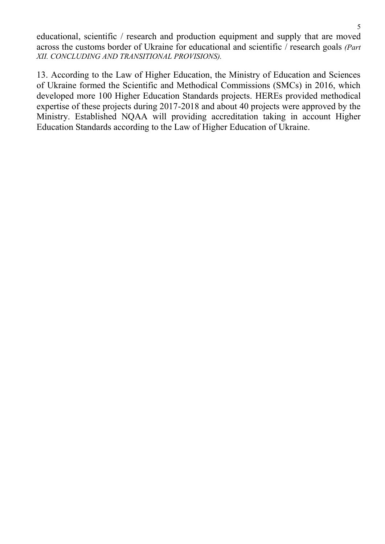educational, scientific / research and production equipment and supply that are moved across the customs border of Ukraine for educational and scientific / research goals *(Part XII. CONCLUDING AND TRANSITIONAL PROVISIONS).*

13. According to the Law of Higher Education, the Ministry of Education and Sciences of Ukraine formed the Scientific and Methodical Commissions (SMCs) in 2016, which developed more 100 Higher Education Standards projects. HEREs provided methodical expertise of these projects during 2017-2018 and about 40 projects were approved by the Ministry. Established NQAA will providing accreditation taking in account Higher Education Standards according to the Law of Higher Education of Ukraine.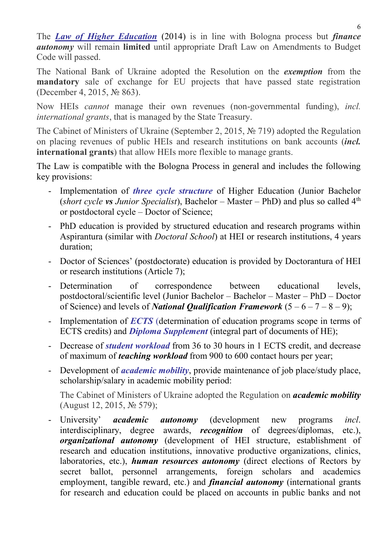The *Law of Higher Education* (2014) is in line with Bologna process but *finance autonomy* will remain **limited** until appropriate Draft Law on Amendments to Budget Code will passed.

The National Bank of Ukraine adopted the Resolution on the *exemption* from the **mandatory** sale of exchange for EU projects that have passed state registration (December 4, 2015, № 863).

Now HEIs *cannot* manage their own revenues (non-governmental funding), *incl. international grants*, that is managed by the State Treasury.

The Cabinet of Ministers of Ukraine (September 2, 2015, № 719) adopted the Regulation on placing revenues of public HEIs and research institutions on bank accounts (*incl.*  **international grants**) that allow HEIs more flexible to manage grants.

The Law is compatible with the Bologna Process in general and includes the following key provisions:

- Implementation of *three cycle structure* of Higher Education (Junior Bachelor (*short cycle vs Junior Specialist*), Bachelor – Master – PhD) and plus so called 4th or postdoctoral cycle – Doctor of Science;
- PhD education is provided by structured education and research programs within Aspirantura (similar with *Doctoral School*) at HEI or research institutions, 4 years duration;
- Doctor of Sciences' (postdoctorate) education is provided by Doctorantura of HEI or research institutions (Article 7);
- Determination of correspondence between educational levels, postdoctoral/scientific level (Junior Bachelor – Bachelor – Master – PhD – Doctor of Science) and levels of *National Qualification Framework*  $(5 - 6 - 7 - 8 - 9)$ ;
- Implementation of *ECTS* (determination of education programs scope in terms of ECTS credits) and *Diploma Supplement* (integral part of documents of HE);
- Decrease of *student workload* from 36 to 30 hours in 1 ECTS credit, and decrease of maximum of *teaching workload* from 900 to 600 contact hours per year;
- Development of *academic mobility*, provide maintenance of job place/study place, scholarship/salary in academic mobility period:

The Cabinet of Ministers of Ukraine adopted the Regulation on *academic mobility* (August 12, 2015, № 579);

- University' *academic autonomy* (development new programs *incl*. interdisciplinary, degree awards, *recognition* of degrees/diplomas, etc.), *organizational autonomy* (development of HEI structure, establishment of research and education institutions, innovative productive organizations, clinics, laboratories, etc.), *human resources autonomy* (direct elections of Rectors by secret ballot, personnel arrangements, foreign scholars and academics employment, tangible reward, etc.) and *financial autonomy* (international grants for research and education could be placed on accounts in public banks and not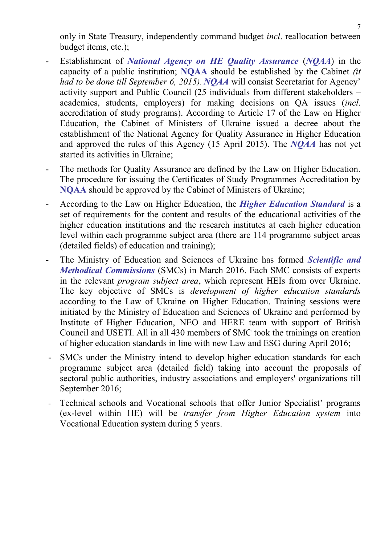only in State Treasury, independently command budget *incl*. reallocation between budget items, etc.);

- Establishment of *National Agency on HE Quality Assurance* (*NQAA*) in the capacity of a public institution; **NQAA** should be established by the Cabinet *(it had to be done till September 6, 2015). NQAA* will consist Secretariat for Agency' activity support and Public Council (25 individuals from different stakeholders – academics, students, employers) for making decisions on QA issues (*incl*. accreditation of study programs). According to Article 17 of the Law on Higher Education, the Cabinet of Ministers of Ukraine issued a decree about the establishment of the National Agency for Quality Assurance in Higher Education and approved the rules of this Agency (15 April 2015). The *NQAA* has not yet started its activities in Ukraine;
- The methods for Quality Assurance are defined by the Law on Higher Education. The procedure for issuing the Certificates of Study Programmes Accreditation by **NQAA** should be approved by the Cabinet of Ministers of Ukraine;
- According to the Law on Higher Education, the *Higher Education Standard* is a set of requirements for the content and results of the educational activities of the higher education institutions and the research institutes at each higher education level within each programme subject area (there are 114 programme subject areas (detailed fields) of education and training);
- The Ministry of Education and Sciences of Ukraine has formed *Scientific and Methodical Commissions* (SMCs) in March 2016. Each SMC consists of experts in the relevant *program subject area*, which represent HEIs from over Ukraine. The key objective of SMCs is *development of higher education standards* according to the Law of Ukraine on Higher Education. Training sessions were initiated by the Ministry of Education and Sciences of Ukraine and performed by Institute of Higher Education, NEO and HERE team with support of British Council and USETI. All in all 430 members of SMC took the trainings on creation of higher education standards in line with new Law and ESG during April 2016;
- SMCs under the Ministry intend to develop higher education standards for each programme subject area (detailed field) taking into account the proposals of sectoral public authorities, industry associations and employers' organizations till September 2016;
- Technical schools and Vocational schools that offer Junior Specialist' programs (ex-level within HE) will be *transfer from Higher Education system* into Vocational Education system during 5 years.